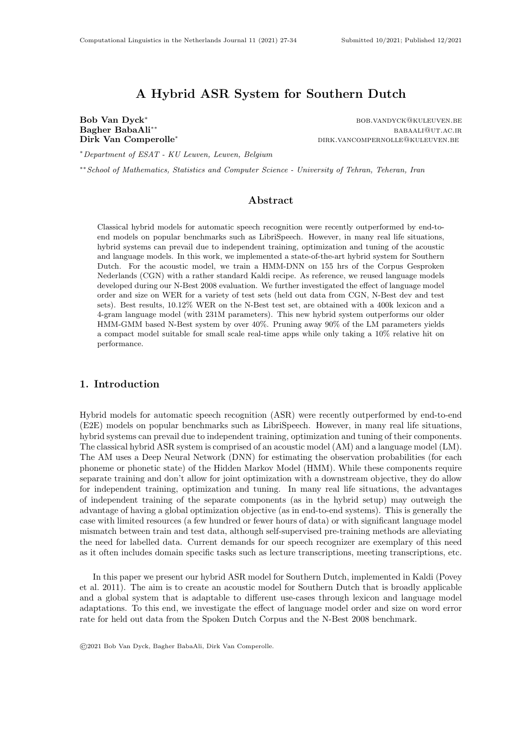# A Hybrid ASR System for Southern Dutch

Bob Van Dyck<sup>\*</sup> bob.vandyck@kuleuven.be

Bagher BabaAli<sup>∗∗</sup> babaali<sup>∗∗</sup> babaali@ut.ac.ir Dirk Van Comperolle<sup>∗</sup> dirk.vancompernolle@kuleuven.be

<sup>∗</sup>Department of ESAT - KU Leuven, Leuven, Belgium

∗∗School of Mathematics, Statistics and Computer Science - University of Tehran, Teheran, Iran

## Abstract

Classical hybrid models for automatic speech recognition were recently outperformed by end-toend models on popular benchmarks such as LibriSpeech. However, in many real life situations, hybrid systems can prevail due to independent training, optimization and tuning of the acoustic and language models. In this work, we implemented a state-of-the-art hybrid system for Southern Dutch. For the acoustic model, we train a HMM-DNN on 155 hrs of the Corpus Gesproken Nederlands (CGN) with a rather standard Kaldi recipe. As reference, we reused language models developed during our N-Best 2008 evaluation. We further investigated the effect of language model order and size on WER for a variety of test sets (held out data from CGN, N-Best dev and test sets). Best results, 10.12% WER on the N-Best test set, are obtained with a 400k lexicon and a 4-gram language model (with 231M parameters). This new hybrid system outperforms our older HMM-GMM based N-Best system by over 40%. Pruning away 90% of the LM parameters yields a compact model suitable for small scale real-time apps while only taking a 10% relative hit on performance.

#### 1. Introduction

Hybrid models for automatic speech recognition (ASR) were recently outperformed by end-to-end (E2E) models on popular benchmarks such as LibriSpeech. However, in many real life situations, hybrid systems can prevail due to independent training, optimization and tuning of their components. The classical hybrid ASR system is comprised of an acoustic model (AM) and a language model (LM). The AM uses a Deep Neural Network (DNN) for estimating the observation probabilities (for each phoneme or phonetic state) of the Hidden Markov Model (HMM). While these components require separate training and don't allow for joint optimization with a downstream objective, they do allow for independent training, optimization and tuning. In many real life situations, the advantages of independent training of the separate components (as in the hybrid setup) may outweigh the advantage of having a global optimization objective (as in end-to-end systems). This is generally the case with limited resources (a few hundred or fewer hours of data) or with significant language model mismatch between train and test data, although self-supervised pre-training methods are alleviating the need for labelled data. Current demands for our speech recognizer are exemplary of this need as it often includes domain specific tasks such as lecture transcriptions, meeting transcriptions, etc.

In this paper we present our hybrid ASR model for Southern Dutch, implemented in Kaldi (Povey et al. 2011). The aim is to create an acoustic model for Southern Dutch that is broadly applicable and a global system that is adaptable to different use-cases through lexicon and language model adaptations. To this end, we investigate the effect of language model order and size on word error rate for held out data from the Spoken Dutch Corpus and the N-Best 2008 benchmark.

©2021 Bob Van Dyck, Bagher BabaAli, Dirk Van Comperolle.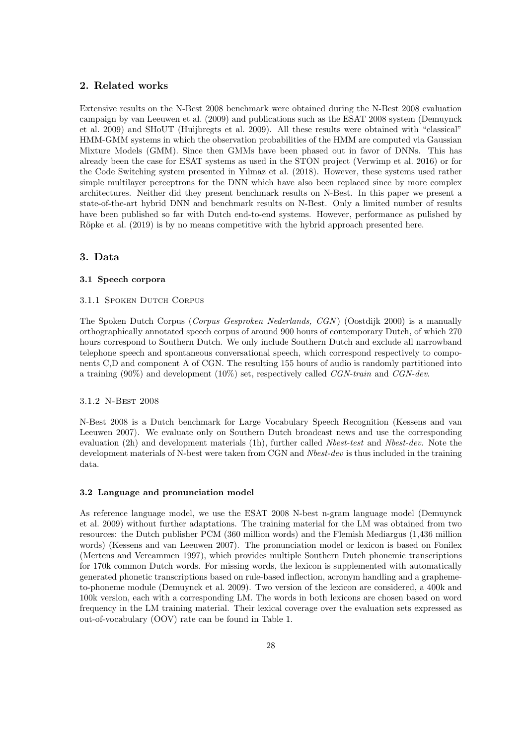# 2. Related works

Extensive results on the N-Best 2008 benchmark were obtained during the N-Best 2008 evaluation campaign by van Leeuwen et al. (2009) and publications such as the ESAT 2008 system (Demuynck et al. 2009) and SHoUT (Huijbregts et al. 2009). All these results were obtained with "classical" HMM-GMM systems in which the observation probabilities of the HMM are computed via Gaussian Mixture Models (GMM). Since then GMMs have been phased out in favor of DNNs. This has already been the case for ESAT systems as used in the STON project (Verwimp et al. 2016) or for the Code Switching system presented in Yılmaz et al. (2018). However, these systems used rather simple multilayer perceptrons for the DNN which have also been replaced since by more complex architectures. Neither did they present benchmark results on N-Best. In this paper we present a state-of-the-art hybrid DNN and benchmark results on N-Best. Only a limited number of results have been published so far with Dutch end-to-end systems. However, performance as pulished by Röpke et al. (2019) is by no means competitive with the hybrid approach presented here.

# 3. Data

### 3.1 Speech corpora

#### 3.1.1 SPOKEN DUTCH CORPUS

The Spoken Dutch Corpus (Corpus Gesproken Nederlands, CGN ) (Oostdijk 2000) is a manually orthographically annotated speech corpus of around 900 hours of contemporary Dutch, of which 270 hours correspond to Southern Dutch. We only include Southern Dutch and exclude all narrowband telephone speech and spontaneous conversational speech, which correspond respectively to components C,D and component A of CGN. The resulting 155 hours of audio is randomly partitioned into a training  $(90\%)$  and development  $(10\%)$  set, respectively called *CGN-train* and *CGN-dev.* 

#### 3.1.2 N-Best 2008

N-Best 2008 is a Dutch benchmark for Large Vocabulary Speech Recognition (Kessens and van Leeuwen 2007). We evaluate only on Southern Dutch broadcast news and use the corresponding evaluation (2h) and development materials (1h), further called Nbest-test and Nbest-dev. Note the development materials of N-best were taken from CGN and *Nbest-dev* is thus included in the training data.

#### 3.2 Language and pronunciation model

As reference language model, we use the ESAT 2008 N-best n-gram language model (Demuynck et al. 2009) without further adaptations. The training material for the LM was obtained from two resources: the Dutch publisher PCM (360 million words) and the Flemish Mediargus (1,436 million words) (Kessens and van Leeuwen 2007). The pronunciation model or lexicon is based on Fonilex (Mertens and Vercammen 1997), which provides multiple Southern Dutch phonemic transcriptions for 170k common Dutch words. For missing words, the lexicon is supplemented with automatically generated phonetic transcriptions based on rule-based inflection, acronym handling and a graphemeto-phoneme module (Demuynck et al. 2009). Two version of the lexicon are considered, a 400k and 100k version, each with a corresponding LM. The words in both lexicons are chosen based on word frequency in the LM training material. Their lexical coverage over the evaluation sets expressed as out-of-vocabulary (OOV) rate can be found in Table 1.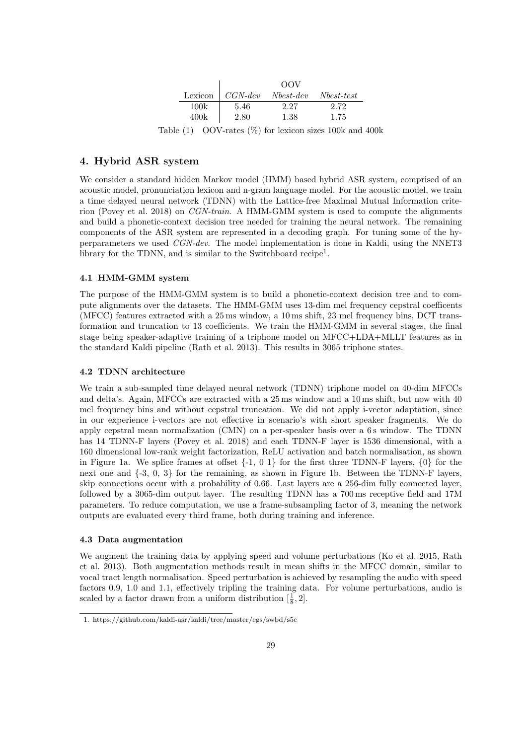|                     | OOV    |                                        |      |  |  |  |  |  |  |
|---------------------|--------|----------------------------------------|------|--|--|--|--|--|--|
|                     |        | Lexicon   CGN-dev Nbest-dev Nbest-test |      |  |  |  |  |  |  |
| 100k                | 5.46   | 2.27                                   | 2.72 |  |  |  |  |  |  |
| 400k                | 2.80   | 1.38                                   | 1.75 |  |  |  |  |  |  |
| $\bigcap$<br>$\sim$ | (0.42) |                                        |      |  |  |  |  |  |  |

Table  $(1)$  OOV-rates  $(\%)$  for lexicon sizes 100k and 400k

# 4. Hybrid ASR system

We consider a standard hidden Markov model (HMM) based hybrid ASR system, comprised of an acoustic model, pronunciation lexicon and n-gram language model. For the acoustic model, we train a time delayed neural network (TDNN) with the Lattice-free Maximal Mutual Information criterion (Povey et al. 2018) on CGN-train. A HMM-GMM system is used to compute the alignments and build a phonetic-context decision tree needed for training the neural network. The remaining components of the ASR system are represented in a decoding graph. For tuning some of the hyperparameters we used CGN-dev. The model implementation is done in Kaldi, using the NNET3 library for the TDNN, and is similar to the Switchboard recipe<sup>1</sup>.

### 4.1 HMM-GMM system

The purpose of the HMM-GMM system is to build a phonetic-context decision tree and to compute alignments over the datasets. The HMM-GMM uses 13-dim mel frequency cepstral coefficents (MFCC) features extracted with a 25 ms window, a 10 ms shift, 23 mel frequency bins, DCT transformation and truncation to 13 coefficients. We train the HMM-GMM in several stages, the final stage being speaker-adaptive training of a triphone model on MFCC+LDA+MLLT features as in the standard Kaldi pipeline (Rath et al. 2013). This results in 3065 triphone states.

### 4.2 TDNN architecture

We train a sub-sampled time delayed neural network (TDNN) triphone model on 40-dim MFCCs and delta's. Again, MFCCs are extracted with a 25 ms window and a 10 ms shift, but now with 40 mel frequency bins and without cepstral truncation. We did not apply i-vector adaptation, since in our experience i-vectors are not effective in scenario's with short speaker fragments. We do apply cepstral mean normalization (CMN) on a per-speaker basis over a 6 s window. The TDNN has 14 TDNN-F layers (Povey et al. 2018) and each TDNN-F layer is 1536 dimensional, with a 160 dimensional low-rank weight factorization, ReLU activation and batch normalisation, as shown in Figure 1a. We splice frames at offset  $\{-1, 0, 1\}$  for the first three TDNN-F layers,  $\{0\}$  for the next one and  $\{-3, 0, 3\}$  for the remaining, as shown in Figure 1b. Between the TDNN-F layers, skip connections occur with a probability of 0.66. Last layers are a 256-dim fully connected layer, followed by a 3065-dim output layer. The resulting TDNN has a 700 ms receptive field and 17M parameters. To reduce computation, we use a frame-subsampling factor of 3, meaning the network outputs are evaluated every third frame, both during training and inference.

#### 4.3 Data augmentation

We augment the training data by applying speed and volume perturbations (Ko et al. 2015, Rath et al. 2013). Both augmentation methods result in mean shifts in the MFCC domain, similar to vocal tract length normalisation. Speed perturbation is achieved by resampling the audio with speed factors 0.9, 1.0 and 1.1, effectively tripling the training data. For volume perturbations, audio is scaled by a factor drawn from a uniform distribution  $[\frac{1}{8}, 2]$ .

<sup>1.</sup> https://github.com/kaldi-asr/kaldi/tree/master/egs/swbd/s5c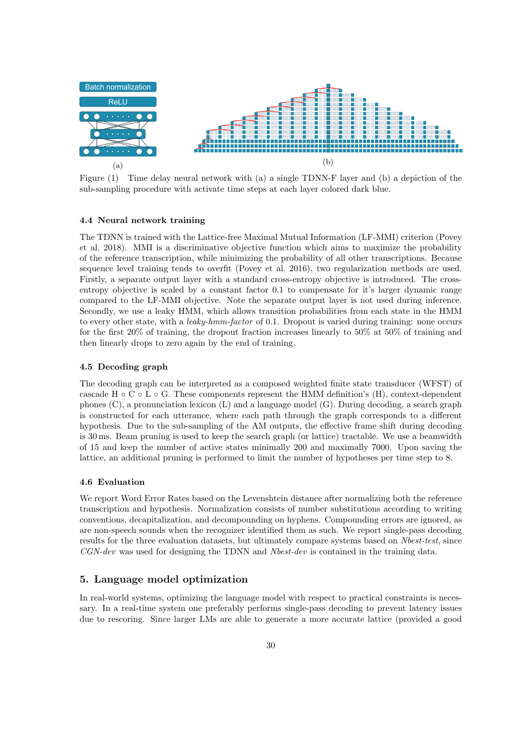

Figure (1) Time delay neural network with (a) a single TDNN-F layer and (b) a depiction of the sub-sampling procedure with activate time steps at each layer colored dark blue.

### 4.4 Neural network training

The TDNN is trained with the Lattice-free Maximal Mutual Information (LF-MMI) criterion (Povey et al. 2018). MMI is a discriminative objective function which aims to maximize the probability of the reference transcription, while minimizing the probability of all other transcriptions. Because sequence level training tends to overfit (Povey et al. 2016), two regularization methods are used. Firstly, a separate output layer with a standard cross-entropy objective is introduced. The crossentropy objective is scaled by a constant factor 0.1 to compensate for it's larger dynamic range compared to the LF-MMI objective. Note the separate output layer is not used during inference. Secondly, we use a leaky HMM, which allows transition probabilities from each state in the HMM to every other state, with a *leaky-hmm-factor* of 0.1. Dropout is varied during training: none occurs for the first 20% of training, the dropout fraction increases linearly to 50% at 50% of training and then linearly drops to zero again by the end of training.

### 4.5 Decoding graph

The decoding graph can be interpreted as a composed weighted finite state transducer (WFST) of cascade H ∘ C ∘ L ∘ G. These components represent the HMM definition's (H), context-dependent phones (C), a pronunciation lexicon (L) and a language model (G). During decoding, a search graph is constructed for each utterance, where each path through the graph corresponds to a different hypothesis. Due to the sub-sampling of the AM outputs, the effective frame shift during decoding is 30 ms. Beam pruning is used to keep the search graph (or lattice) tractable. We use a beamwidth of 15 and keep the number of active states minimally 200 and maximally 7000. Upon saving the lattice, an additional pruning is performed to limit the number of hypotheses per time step to 8.

### 4.6 Evaluation

We report Word Error Rates based on the Levenshtein distance after normalizing both the reference transcription and hypothesis. Normalization consists of number substitutions according to writing conventions, decapitalization, and decompounding on hyphens. Compounding errors are ignored, as are non-speech sounds when the recognizer identified them as such. We report single-pass decoding results for the three evaluation datasets, but ultimately compare systems based on Nbest-test, since CGN-dev was used for designing the TDNN and Nbest-dev is contained in the training data.

### 5. Language model optimization

In real-world systems, optimizing the language model with respect to practical constraints is necessary. In a real-time system one preferably performs single-pass decoding to prevent latency issues due to rescoring. Since larger LMs are able to generate a more accurate lattice (provided a good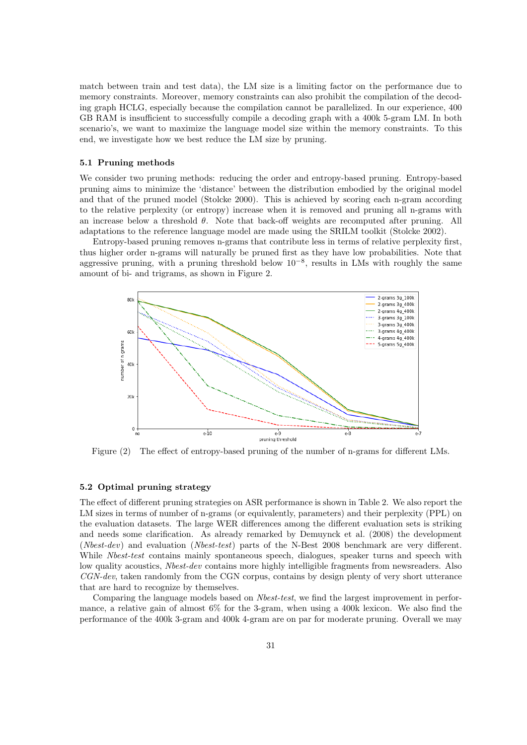match between train and test data), the LM size is a limiting factor on the performance due to memory constraints. Moreover, memory constraints can also prohibit the compilation of the decoding graph HCLG, especially because the compilation cannot be parallelized. In our experience, 400 GB RAM is insufficient to successfully compile a decoding graph with a 400k 5-gram LM. In both scenario's, we want to maximize the language model size within the memory constraints. To this end, we investigate how we best reduce the LM size by pruning.

#### 5.1 Pruning methods

We consider two pruning methods: reducing the order and entropy-based pruning. Entropy-based pruning aims to minimize the 'distance' between the distribution embodied by the original model and that of the pruned model (Stolcke 2000). This is achieved by scoring each n-gram according to the relative perplexity (or entropy) increase when it is removed and pruning all n-grams with an increase below a threshold  $\theta$ . Note that back-off weights are recomputed after pruning. All adaptations to the reference language model are made using the SRILM toolkit (Stolcke 2002).

Entropy-based pruning removes n-grams that contribute less in terms of relative perplexity first, thus higher order n-grams will naturally be pruned first as they have low probabilities. Note that aggressive pruning, with a pruning threshold below  $10^{-8}$ , results in LMs with roughly the same amount of bi- and trigrams, as shown in Figure 2.



Figure (2) The effect of entropy-based pruning of the number of n-grams for different LMs.

### 5.2 Optimal pruning strategy

The effect of different pruning strategies on ASR performance is shown in Table 2. We also report the LM sizes in terms of number of n-grams (or equivalently, parameters) and their perplexity (PPL) on the evaluation datasets. The large WER differences among the different evaluation sets is striking and needs some clarification. As already remarked by Demuynck et al. (2008) the development (Nbest-dev) and evaluation (Nbest-test) parts of the N-Best 2008 benchmark are very different. While Nbest-test contains mainly spontaneous speech, dialogues, speaker turns and speech with low quality acoustics, *Nbest-dev* contains more highly intelligible fragments from newsreaders. Also CGN-dev, taken randomly from the CGN corpus, contains by design plenty of very short utterance that are hard to recognize by themselves.

Comparing the language models based on Nbest-test, we find the largest improvement in performance, a relative gain of almost 6% for the 3-gram, when using a 400k lexicon. We also find the performance of the 400k 3-gram and 400k 4-gram are on par for moderate pruning. Overall we may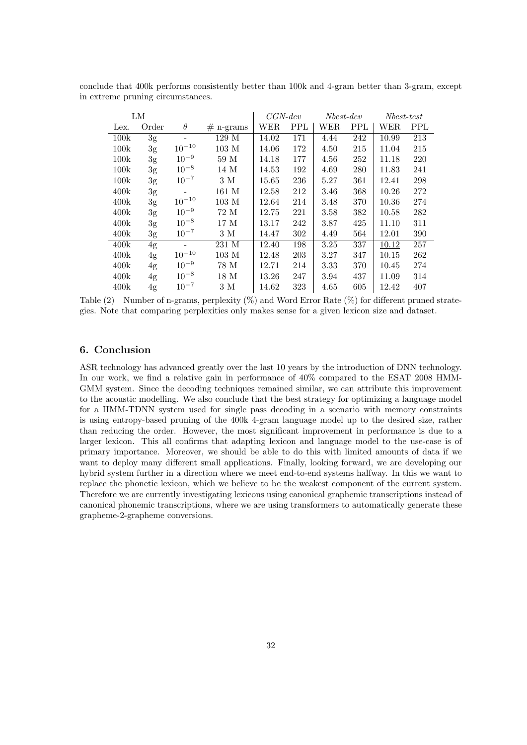| LM   |                |            |             | $CGN$ -dev |            | $Nbest-dev$ |            | $Nbest-test$ |            |
|------|----------------|------------|-------------|------------|------------|-------------|------------|--------------|------------|
| Lex. | Order          | $\theta$   | $#$ n-grams | WER        | <b>PPL</b> | WER         | <b>PPL</b> | WER          | <b>PPL</b> |
| 100k | 3g             |            | 129 M       | 14.02      | 171        | 4.44        | 242        | 10.99        | 213        |
| 100k | 3 <sub>g</sub> | $10^{-10}$ | $103$ M     | 14.06      | 172        | 4.50        | 215        | 11.04        | 215        |
| 100k | 3g             | $10^{-9}$  | 59 M        | 14.18      | 177        | 4.56        | 252        | 11.18        | 220        |
| 100k | 3 <sub>g</sub> | $10^{-8}$  | 14 M        | 14.53      | 192        | 4.69        | 280        | 11.83        | 241        |
| 100k | 3g             | $10^{-7}$  | 3 M         | 15.65      | 236        | 5.27        | 361        | 12.41        | 298        |
| 400k | 3 <sub>g</sub> |            | 161 M       | 12.58      | 212        | 3.46        | 368        | 10.26        | 272        |
| 400k | 3 <sub>g</sub> | $10^{-10}$ | $103$ M     | 12.64      | 214        | 3.48        | 370        | 10.36        | 274        |
| 400k | 3g             | $10^{-9}$  | 72 M        | 12.75      | 221        | 3.58        | 382        | 10.58        | 282        |
| 400k | 3 <sub>g</sub> | $10^{-8}$  | 17 M        | 13.17      | 242        | 3.87        | 425        | 11.10        | 311        |
| 400k | 3 <sub>g</sub> | $10^{-7}$  | 3 M         | 14.47      | 302        | 4.49        | 564        | 12.01        | 390        |
| 400k | 4g             |            | 231 M       | 12.40      | 198        | 3.25        | 337        | 10.12        | 257        |
| 400k | 4g             | $10^{-10}$ | $103$ M     | 12.48      | 203        | 3.27        | 347        | 10.15        | 262        |
| 400k | 4g             | $10^{-9}$  | 78 M        | 12.71      | 214        | 3.33        | 370        | 10.45        | 274        |
| 400k | 4g             | $10^{-8}$  | 18 M        | 13.26      | 247        | 3.94        | 437        | 11.09        | 314        |
| 400k | 4g             | $10^{-7}$  | 3 M         | 14.62      | 323        | 4.65        | 605        | 12.42        | 407        |

conclude that 400k performs consistently better than 100k and 4-gram better than 3-gram, except in extreme pruning circumstances.

Table (2) Number of n-grams, perplexity (%) and Word Error Rate (%) for different pruned strategies. Note that comparing perplexities only makes sense for a given lexicon size and dataset.

### 6. Conclusion

ASR technology has advanced greatly over the last 10 years by the introduction of DNN technology. In our work, we find a relative gain in performance of 40% compared to the ESAT 2008 HMM-GMM system. Since the decoding techniques remained similar, we can attribute this improvement to the acoustic modelling. We also conclude that the best strategy for optimizing a language model for a HMM-TDNN system used for single pass decoding in a scenario with memory constraints is using entropy-based pruning of the 400k 4-gram language model up to the desired size, rather than reducing the order. However, the most significant improvement in performance is due to a larger lexicon. This all confirms that adapting lexicon and language model to the use-case is of primary importance. Moreover, we should be able to do this with limited amounts of data if we want to deploy many different small applications. Finally, looking forward, we are developing our hybrid system further in a direction where we meet end-to-end systems halfway. In this we want to replace the phonetic lexicon, which we believe to be the weakest component of the current system. Therefore we are currently investigating lexicons using canonical graphemic transcriptions instead of canonical phonemic transcriptions, where we are using transformers to automatically generate these grapheme-2-grapheme conversions.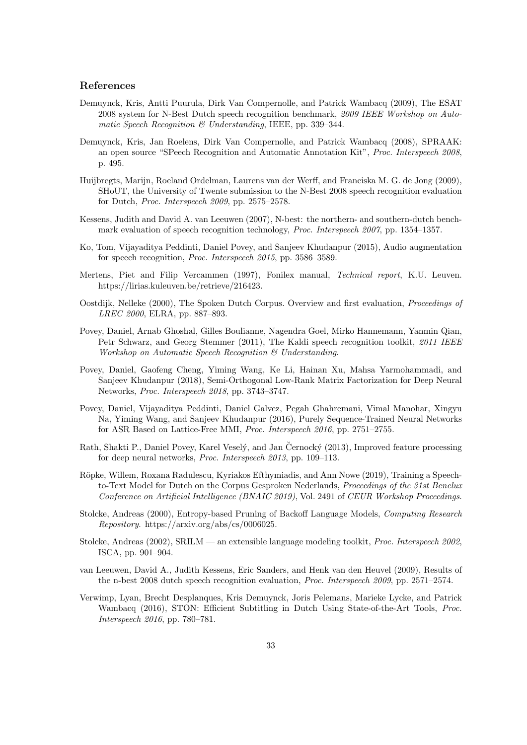## References

- Demuynck, Kris, Antti Puurula, Dirk Van Compernolle, and Patrick Wambacq (2009), The ESAT 2008 system for N-Best Dutch speech recognition benchmark, 2009 IEEE Workshop on Automatic Speech Recognition & Understanding, IEEE, pp. 339–344.
- Demuynck, Kris, Jan Roelens, Dirk Van Compernolle, and Patrick Wambacq (2008), SPRAAK: an open source "SPeech Recognition and Automatic Annotation Kit", Proc. Interspeech 2008, p. 495.
- Huijbregts, Marijn, Roeland Ordelman, Laurens van der Werff, and Franciska M. G. de Jong (2009), SHoUT, the University of Twente submission to the N-Best 2008 speech recognition evaluation for Dutch, Proc. Interspeech 2009, pp. 2575–2578.
- Kessens, Judith and David A. van Leeuwen (2007), N-best: the northern- and southern-dutch benchmark evaluation of speech recognition technology, Proc. Interspeech 2007, pp. 1354–1357.
- Ko, Tom, Vijayaditya Peddinti, Daniel Povey, and Sanjeev Khudanpur (2015), Audio augmentation for speech recognition, Proc. Interspeech 2015, pp. 3586–3589.
- Mertens, Piet and Filip Vercammen (1997), Fonilex manual, Technical report, K.U. Leuven. https://lirias.kuleuven.be/retrieve/216423.
- Oostdijk, Nelleke (2000), The Spoken Dutch Corpus. Overview and first evaluation, Proceedings of LREC 2000, ELRA, pp. 887–893.
- Povey, Daniel, Arnab Ghoshal, Gilles Boulianne, Nagendra Goel, Mirko Hannemann, Yanmin Qian, Petr Schwarz, and Georg Stemmer (2011), The Kaldi speech recognition toolkit, 2011 IEEE Workshop on Automatic Speech Recognition & Understanding.
- Povey, Daniel, Gaofeng Cheng, Yiming Wang, Ke Li, Hainan Xu, Mahsa Yarmohammadi, and Sanjeev Khudanpur (2018), Semi-Orthogonal Low-Rank Matrix Factorization for Deep Neural Networks, Proc. Interspeech 2018, pp. 3743–3747.
- Povey, Daniel, Vijayaditya Peddinti, Daniel Galvez, Pegah Ghahremani, Vimal Manohar, Xingyu Na, Yiming Wang, and Sanjeev Khudanpur (2016), Purely Sequence-Trained Neural Networks for ASR Based on Lattice-Free MMI, Proc. Interspeech 2016, pp. 2751–2755.
- Rath, Shakti P., Daniel Povey, Karel Veselý, and Jan Černocký (2013), Improved feature processing for deep neural networks, Proc. Interspeech 2013, pp. 109–113.
- Röpke, Willem, Roxana Radulescu, Kyriakos Efthymiadis, and Ann Nowe (2019), Training a Speechto-Text Model for Dutch on the Corpus Gesproken Nederlands, *Proceedings of the 31st Benelux* Conference on Artificial Intelligence (BNAIC 2019), Vol. 2491 of CEUR Workshop Proceedings.
- Stolcke, Andreas (2000), Entropy-based Pruning of Backoff Language Models, Computing Research Repository. https://arxiv.org/abs/cs/0006025.
- Stolcke, Andreas (2002), SRILM an extensible language modeling toolkit, Proc. Interspeech 2002, ISCA, pp. 901–904.
- van Leeuwen, David A., Judith Kessens, Eric Sanders, and Henk van den Heuvel (2009), Results of the n-best 2008 dutch speech recognition evaluation, Proc. Interspeech 2009, pp. 2571–2574.
- Verwimp, Lyan, Brecht Desplanques, Kris Demuynck, Joris Pelemans, Marieke Lycke, and Patrick Wambacq (2016), STON: Efficient Subtitling in Dutch Using State-of-the-Art Tools, Proc. Interspeech 2016, pp. 780–781.